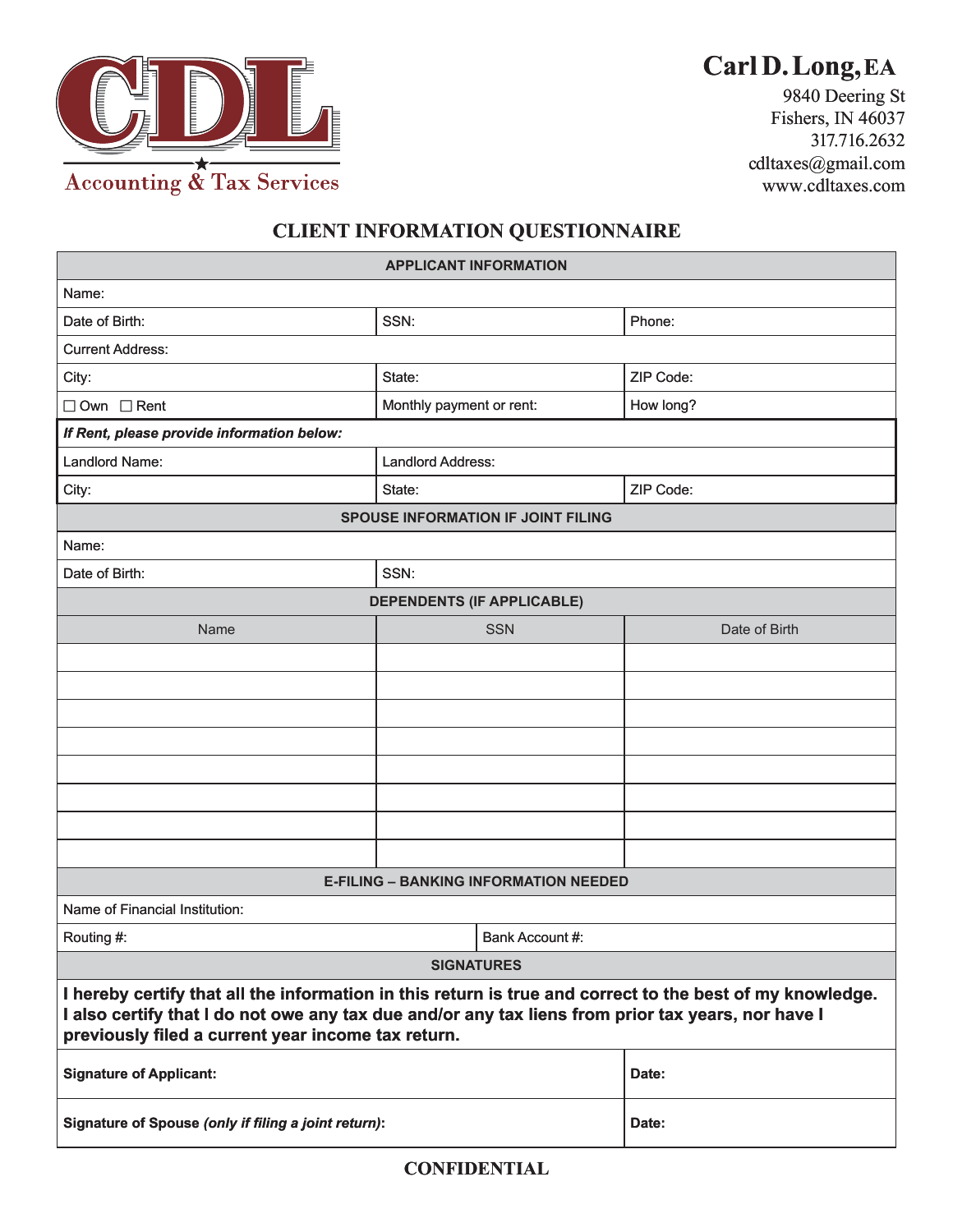

# **Carl D. Long, EA**

## **CLIENT INFORMATION QUESTIONNAIRE** CLIENT INFORMATION QUESTIONNAIRE

|                                                                                                                                                                                                                                                                       |                                              | Carl D. Long, EA                     |
|-----------------------------------------------------------------------------------------------------------------------------------------------------------------------------------------------------------------------------------------------------------------------|----------------------------------------------|--------------------------------------|
| <b>TELEVISION TELEVISION</b><br>$\frac{1}{\sqrt{2}}$<br>I                                                                                                                                                                                                             |                                              | 9840 Deering St<br>Fishers, IN 46037 |
|                                                                                                                                                                                                                                                                       |                                              | 317.716.2632                         |
| <b>Accounting &amp; Tax Services</b>                                                                                                                                                                                                                                  |                                              | cdltaxes@gmail.com                   |
|                                                                                                                                                                                                                                                                       |                                              | www.cdltaxes.com                     |
| <b>CLIENT INFORMATION QUESTIONNAIRE</b>                                                                                                                                                                                                                               |                                              |                                      |
| <b>APPLICANT INFORMATION</b>                                                                                                                                                                                                                                          |                                              |                                      |
| Name:                                                                                                                                                                                                                                                                 |                                              |                                      |
| Date of Birth:                                                                                                                                                                                                                                                        | SSN:                                         | Phone:                               |
| <b>Current Address:</b>                                                                                                                                                                                                                                               |                                              |                                      |
| City:                                                                                                                                                                                                                                                                 | State:                                       | ZIP Code:                            |
| $\Box$ Own $\Box$ Rent                                                                                                                                                                                                                                                | Monthly payment or rent:                     | How long?                            |
| If Rent, please provide information below:                                                                                                                                                                                                                            |                                              |                                      |
| Landlord Name:                                                                                                                                                                                                                                                        | <b>Landlord Address:</b>                     |                                      |
| City:                                                                                                                                                                                                                                                                 | State:                                       | ZIP Code:                            |
|                                                                                                                                                                                                                                                                       | <b>SPOUSE INFORMATION IF JOINT FILING</b>    |                                      |
| Name:                                                                                                                                                                                                                                                                 |                                              |                                      |
| Date of Birth:                                                                                                                                                                                                                                                        | SSN:                                         |                                      |
|                                                                                                                                                                                                                                                                       | <b>DEPENDENTS (IF APPLICABLE)</b>            |                                      |
| Name                                                                                                                                                                                                                                                                  | <b>SSN</b>                                   | Date of Birth                        |
|                                                                                                                                                                                                                                                                       |                                              |                                      |
|                                                                                                                                                                                                                                                                       |                                              |                                      |
|                                                                                                                                                                                                                                                                       |                                              |                                      |
|                                                                                                                                                                                                                                                                       |                                              |                                      |
|                                                                                                                                                                                                                                                                       |                                              |                                      |
|                                                                                                                                                                                                                                                                       |                                              |                                      |
|                                                                                                                                                                                                                                                                       |                                              |                                      |
|                                                                                                                                                                                                                                                                       |                                              |                                      |
|                                                                                                                                                                                                                                                                       | <b>E-FILING - BANKING INFORMATION NEEDED</b> |                                      |
| Name of Financial Institution:                                                                                                                                                                                                                                        |                                              |                                      |
| Routing #:                                                                                                                                                                                                                                                            | Bank Account #:                              |                                      |
|                                                                                                                                                                                                                                                                       | <b>SIGNATURES</b>                            |                                      |
| I hereby certify that all the information in this return is true and correct to the best of my knowledge.<br>I also certify that I do not owe any tax due and/or any tax liens from prior tax years, nor have I<br>previously filed a current year income tax return. |                                              |                                      |
| <b>Signature of Applicant:</b>                                                                                                                                                                                                                                        |                                              | Date:                                |
| Signature of Spouse (only if filing a joint return):                                                                                                                                                                                                                  |                                              | Date:                                |